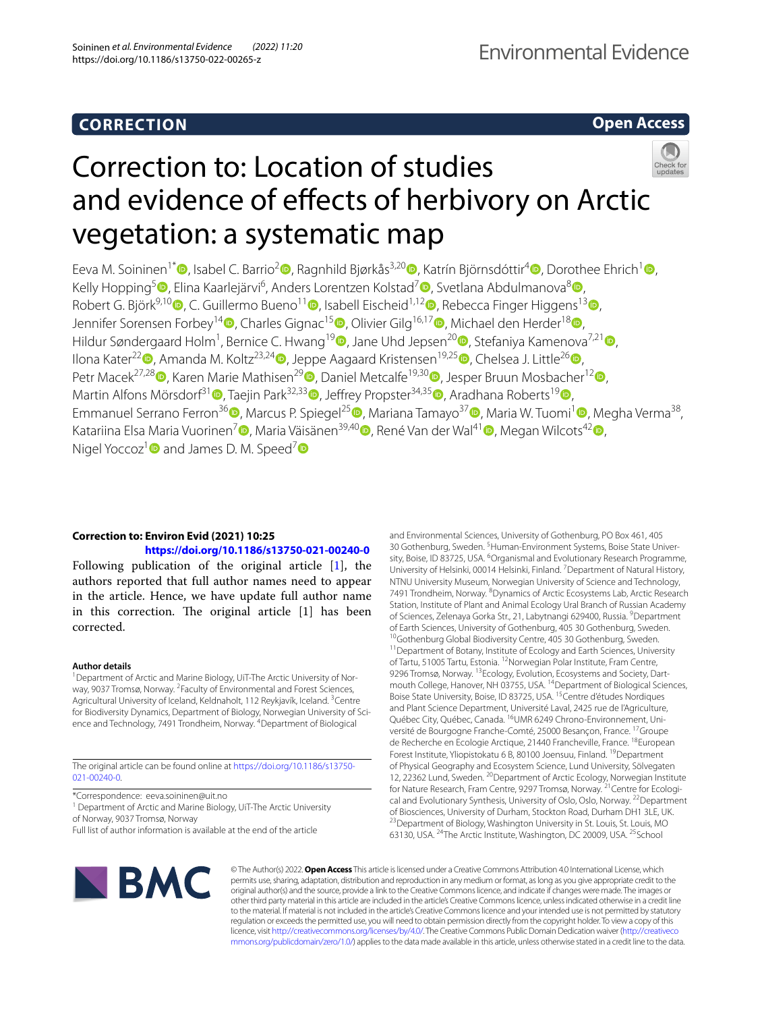# **CORRECTION**

**Open Access**

# Correction to: Location of studies and evidence of effects of herbivory on Arctic vegetation: a systematic map

Eeva M. Soininen<sup>1[\\*](http://orcid.org/0000-0003-4280-8350)</sup> , Isabel C. Barrio<sup>[2](http://orcid.org/0000-0002-8120-5248)</sup> , Ragnhild Bjørkås<sup>3,2[0](http://orcid.org/0000-0003-1091-4722)</sup> , Katrín Björnsdóttir<sup>[4](http://orcid.org/0000-0001-7421-9441)</sup> [,](http://orcid.org/0000-0002-3028-9488) Dorothee Ehrich<sup>1</sup> , Kelly Hopping<sup>5</sup> (D[,](http://orcid.org/0000-0002-0557-0526) Elina Kaarlejärvi<sup>6</sup>, Anders Lorentzen Kolstad<sup>[7](http://orcid.org/0000-0002-9623-9491)</sup> (D, Svetlana Abdulmanova<sup>[8](http://orcid.org/0000-0001-5506-3824)</sup> (D, Robert G. Björk<sup>9,1[0](http://orcid.org/0000-0001-7346-666X)</sup> $\bullet$ [,](http://orcid.org/0000-0002-8670-3529) C. Guillermo Bueno<sup>11</sup> $\bullet$ , Isabell Eischeid<sup>1,12</sup> $\bullet$ , Rebecca Finger Higgens<sup>1[3](http://orcid.org/0000-0002-7645-504X)</sup> $\bullet$ , Jennifer Sorensen Forbey<sup>1[4](http://orcid.org/0000-0001-6069-4049)</sup><sup>(a)</sup>, Charles Gignac<sup>1[5](http://orcid.org/0000-0003-0528-4228)</sup><sup>(b</sup>)[,](http://orcid.org/0000-0002-9083-4492) Olivier Gilg<sup>16,17</sup><sup>(b</sup>), Michael den Herder<sup>1[8](http://orcid.org/0000-0002-6562-3407)</sup><sup>(b</sup>), Hildur Søndergaard Holm<sup>1</sup>, Bernice C. Hwang<sup>1[9](http://orcid.org/0000-0002-3744-9771)</sup> D[,](http://orcid.org/0000-0002-7241-0506) Jane Uhd Jepsen<sup>20</sup> D, Stefaniya Kamenova<sup>7,21</sup> D, Ilona Kater<sup>[2](http://orcid.org/0000-0002-2910-1337)2</sup> , Amanda M. Koltz<sup>23,2[4](http://orcid.org/0000-0002-7341-4306)</sup> [,](http://orcid.org/0000-0001-7168-9405) Jeppe Aagaard Kristensen<sup>19,25</sup> , Chelsea J. Little<sup>2[6](http://orcid.org/0000-0003-2803-7465)</sup> , Petr Macek<sup>27[,](http://orcid.org/0000-0001-8325-9269)[2](http://orcid.org/0000-0002-2067-2897)8</sup> $\bullet$ , Karen Marie Mathisen<sup>2[9](http://orcid.org/0000-0001-5166-8009)</sup> $\bullet$ , Daniel Metcalfe<sup>19,30</sup> $\bullet$ , Jesper Bruun Mosbacher<sup>12</sup> $\bullet$ , Martin Alfons Mörsdorf<sup>[3](http://orcid.org/0000-0003-0698-6942)1</sup> **D**[,](http://orcid.org/0000-0002-3903-2021) Taejin Park<sup>32,33</sup> D, Jeffrey Propster<sup>34,3[5](http://orcid.org/0000-0002-7374-4225)</sup> D, Aradhana Roberts<sup>1[9](http://orcid.org/0000-0003-1671-3702)</sup> D Emmanuel Serrano Ferron<sup>36</sup> [,](http://orcid.org/0000-0002-7154-5177) Marcus P. Spiegel<sup>2[5](http://orcid.org/0000-0001-5879-5465)</sup> , Mariana Tamayo<sup>3[7](http://orcid.org/0000-0003-3966-4042)</sup> , Maria W. Tuomi<sup>1</sup> , Megha Verma<sup>38</sup>, Katariina Elsa Maria Vuorinen<sup>[7](http://orcid.org/0000-0002-4774-6796)</sup> , Maria Väisänen<sup>39,4[0](http://orcid.org/0000-0002-8395-1519)</sup> , René Van der Wal<sup>4[1](http://orcid.org/0000-0002-9175-0266)</sup> [,](http://orcid.org/0000-0002-0383-4065) Megan Wilcots<sup>42</sup> , Nigel Yoccoz<sup>1</sup> and James D. M. Speed<sup>7</sup>  $\bullet$ 

## **Correction to: Environ Evid (2021) 10:25 <https://doi.org/10.1186/s13750-021-00240-0>**

Following publication of the original article [\[1\]](#page-1-0), the authors reported that full author names need to appear in the article. Hence, we have update full author name in this correction. The original article  $[1]$  has been corrected.

### **Author details**

<sup>1</sup> Department of Arctic and Marine Biology, UiT-The Arctic University of Norway, 9037 Tromsø, Norway. <sup>2</sup> Faculty of Environmental and Forest Sciences, Agricultural University of Iceland, Keldnaholt, 112 Reykjavík, Iceland. <sup>3</sup>Centre for Biodiversity Dynamics, Department of Biology, Norwegian University of Science and Technology, 7491 Trondheim, Norway. <sup>4</sup> Department of Biological

The original article can be found online at [https://doi.org/10.1186/s13750-](https://doi.org/10.1186/s13750-021-00240-0) [021-00240-0](https://doi.org/10.1186/s13750-021-00240-0).

\*Correspondence: eeva.soininen@uit.no

<sup>1</sup> Department of Arctic and Marine Biology, UiT-The Arctic University of Norway, 9037 Tromsø, Norway

Full list of author information is available at the end of the article

and Environmental Sciences, University of Gothenburg, PO Box 461, 405 30 Gothenburg, Sweden. <sup>5</sup> Human-Environment Systems, Boise State University, Boise, ID 83725, USA. <sup>6</sup>Organismal and Evolutionary Research Programme, University of Helsinki, 00014 Helsinki, Finland. <sup>7</sup> Department of Natural History, NTNU University Museum, Norwegian University of Science and Technology, 7491 Trondheim, Norway. <sup>8</sup>Dynamics of Arctic Ecosystems Lab, Arctic Research Station, Institute of Plant and Animal Ecology Ural Branch of Russian Academy of Sciences, Zelenaya Gorka Str., 21, Labytnangi 629400, Russia. <sup>9</sup>Department of Earth Sciences, University of Gothenburg, 405 30 Gothenburg, Sweden. <sup>10</sup>Gothenburg Global Biodiversity Centre, 405 30 Gothenburg, Sweden. <sup>11</sup>Department of Botany, Institute of Ecology and Earth Sciences, University of Tartu, 51005 Tartu, Estonia. 12Norwegian Polar Institute, Fram Centre, 9296 Tromsø, Norway. <sup>13</sup> Ecology, Evolution, Ecosystems and Society, Dartmouth College, Hanover, NH 03755, USA. <sup>14</sup>Department of Biological Sciences, Boise State University, Boise, ID 83725, USA. <sup>15</sup>Centre d'études Nordiques and Plant Science Department, Université Laval, 2425 rue de l'Agriculture, Québec City, Québec, Canada. 16UMR 6249 Chrono-Environnement, Université de Bourgogne Franche-Comté, 25000 Besançon, France. 17Groupe de Recherche en Ecologie Arctique, 21440 Francheville, France. 18European Forest Institute, Yliopistokatu 6 B, 80100 Joensuu, Finland. <sup>19</sup>Department of Physical Geography and Ecosystem Science, Lund University, Sölvegaten 12, 22362 Lund, Sweden. <sup>20</sup> Department of Arctic Ecology, Norwegian Institute for Nature Research, Fram Centre, 9297 Tromsø, Norway. <sup>21</sup> Centre for Ecological and Evolutionary Synthesis, University of Oslo, Oslo, Norway.<sup>22</sup>Department of Biosciences, University of Durham, Stockton Road, Durham DH1 3LE, UK.<br><sup>23</sup>Department of Biology, Washington University in St. Louis, St. Louis, MO 63130, USA. <sup>24</sup>The Arctic Institute, Washington, DC 20009, USA. <sup>25</sup>School



© The Author(s) 2022. **Open Access** This article is licensed under a Creative Commons Attribution 4.0 International License, which permits use, sharing, adaptation, distribution and reproduction in any medium or format, as long as you give appropriate credit to the original author(s) and the source, provide a link to the Creative Commons licence, and indicate if changes were made. The images or other third party material in this article are included in the article's Creative Commons licence, unless indicated otherwise in a credit line to the material. If material is not included in the article's Creative Commons licence and your intended use is not permitted by statutory regulation or exceeds the permitted use, you will need to obtain permission directly from the copyright holder. To view a copy of this licence, visit [http://creativecommons.org/licenses/by/4.0/.](http://creativecommons.org/licenses/by/4.0/) The Creative Commons Public Domain Dedication waiver ([http://creativeco](http://creativecommons.org/publicdomain/zero/1.0/) [mmons.org/publicdomain/zero/1.0/](http://creativecommons.org/publicdomain/zero/1.0/)) applies to the data made available in this article, unless otherwise stated in a credit line to the data.